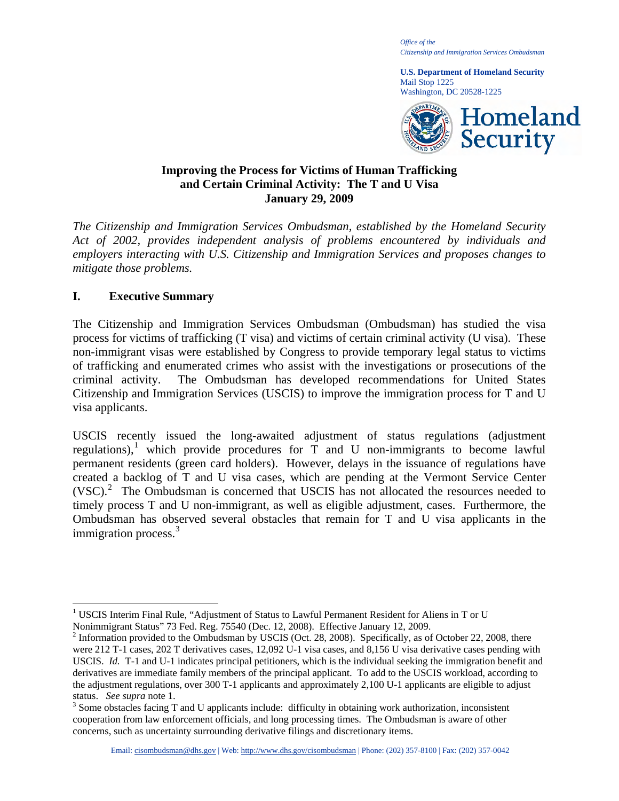*Office of the Citizenship and Immigration Services Ombudsman* 

**U.S. Department of Homeland Security**  Mail Stop 1225 Washington, DC 20528-1225



# **Improving the Process for Victims of Human Trafficking and Certain Criminal Activity: The T and U Visa January 29, 2009**

*The Citizenship and Immigration Services Ombudsman, established by the Homeland Security Act of 2002, provides independent analysis of problems encountered by individuals and employers interacting with U.S. Citizenship and Immigration Services and proposes changes to mitigate those problems.* 

# **I. Executive Summary**

 $\overline{a}$ 

The Citizenship and Immigration Services Ombudsman (Ombudsman) has studied the visa process for victims of trafficking (T visa) and victims of certain criminal activity (U visa). These non-immigrant visas were established by Congress to provide temporary legal status to victims of trafficking and enumerated crimes who assist with the investigations or prosecutions of the criminal activity. The Ombudsman has developed recommendations for United States Citizenship and Immigration Services (USCIS) to improve the immigration process for T and U visa applicants.

USCIS recently issued the long-awaited adjustment of status regulations (adjustment regulations),<sup>[1](#page-0-0)</sup> which provide procedures for  $\overline{T}$  and U non-immigrants to become lawful permanent residents (green card holders). However, delays in the issuance of regulations have created a backlog of T and U visa cases, which are pending at the Vermont Service Center  $(VSC)<sup>2</sup>$  $(VSC)<sup>2</sup>$  $(VSC)<sup>2</sup>$  The Ombudsman is concerned that USCIS has not allocated the resources needed to timely process T and U non-immigrant, as well as eligible adjustment, cases. Furthermore, the Ombudsman has observed several obstacles that remain for T and U visa applicants in the immigration process.<sup>[3](#page-0-2)</sup>

<span id="page-0-0"></span><sup>&</sup>lt;sup>1</sup> USCIS Interim Final Rule, "Adjustment of Status to Lawful Permanent Resident for Aliens in T or U Nonimmigrant Status" 73 Fed. Reg. 75540 (Dec. 12, 2008). Effective January 12, 2009. 2

<span id="page-0-1"></span> $2$  Information provided to the Ombudsman by USCIS (Oct. 28, 2008). Specifically, as of October 22, 2008, there were 212 T-1 cases, 202 T derivatives cases, 12,092 U-1 visa cases, and 8,156 U visa derivative cases pending with USCIS. *Id.* T-1 and U-1 indicates principal petitioners, which is the individual seeking the immigration benefit and derivatives are immediate family members of the principal applicant. To add to the USCIS workload, according to the adjustment regulations, over 300 T-1 applicants and approximately 2,100 U-1 applicants are eligible to adjust status. *See supra* note 1.

<span id="page-0-2"></span><sup>&</sup>lt;sup>3</sup> Some obstacles facing T and U applicants include: difficulty in obtaining work authorization, inconsistent cooperation from law enforcement officials, and long processing times. The Ombudsman is aware of other concerns, such as uncertainty surrounding derivative filings and discretionary items.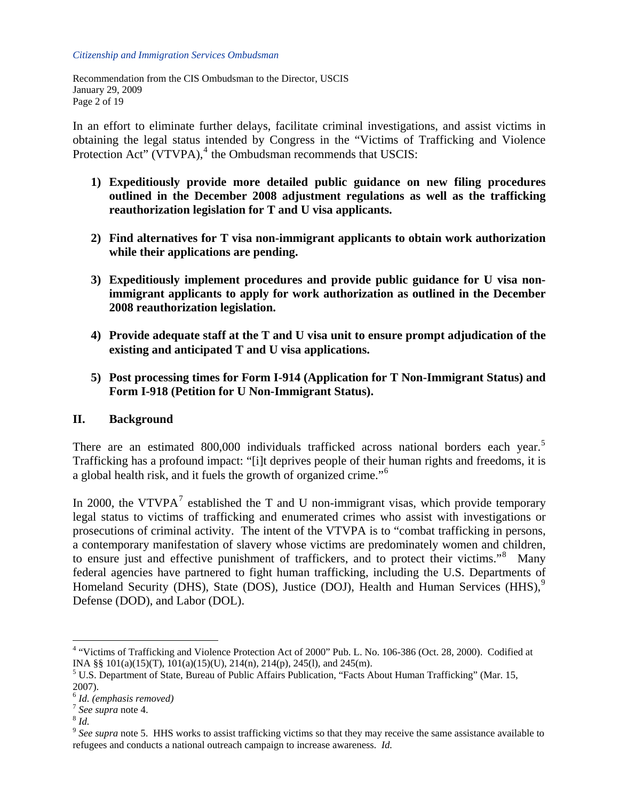Recommendation from the CIS Ombudsman to the Director, USCIS January 29, 2009 Page 2 of 19

In an effort to eliminate further delays, facilitate criminal investigations, and assist victims in obtaining the legal status intended by Congress in the "Victims of Trafficking and Violence Protection Act" (VTVPA),<sup>[4](#page-1-0)</sup> the Ombudsman recommends that USCIS:

- **1) Expeditiously provide more detailed public guidance on new filing procedures outlined in the December 2008 adjustment regulations as well as the trafficking reauthorization legislation for T and U visa applicants.**
- **2) Find alternatives for T visa non-immigrant applicants to obtain work authorization while their applications are pending.**
- **3) Expeditiously implement procedures and provide public guidance for U visa nonimmigrant applicants to apply for work authorization as outlined in the December 2008 reauthorization legislation.**
- **4) Provide adequate staff at the T and U visa unit to ensure prompt adjudication of the existing and anticipated T and U visa applications.**
- **5) Post processing times for Form I-914 (Application for T Non-Immigrant Status) and Form I-918 (Petition for U Non-Immigrant Status).**

## **II. Background**

There are an estimated 800,000 individuals trafficked across national borders each year.<sup>[5](#page-1-1)</sup> Trafficking has a profound impact: "[i]t deprives people of their human rights and freedoms, it is a global health risk, and it fuels the growth of organized crime."[6](#page-1-2)

In 2000, the VTVPA<sup>[7](#page-1-3)</sup> established the T and U non-immigrant visas, which provide temporary legal status to victims of trafficking and enumerated crimes who assist with investigations or prosecutions of criminal activity. The intent of the VTVPA is to "combat trafficking in persons, a contemporary manifestation of slavery whose victims are predominately women and children, to ensure just and effective punishment of traffickers, and to protect their victims."<sup>[8](#page-1-4)</sup> Many federal agencies have partnered to fight human trafficking, including the U.S. Departments of Homeland Security (DHS), State (DOS), Justice (DOJ), Health and Human Services (HHS), $9$ Defense (DOD), and Labor (DOL).

<span id="page-1-0"></span> 4 "Victims of Trafficking and Violence Protection Act of 2000" Pub. L. No. 106-386 (Oct. 28, 2000). Codified at INA §§ 101(a)(15)(T), 101(a)(15)(U), 214(n), 214(p), 245(l), and 245(m).

<span id="page-1-1"></span><sup>&</sup>lt;sup>5</sup> U.S. Department of State, Bureau of Public Affairs Publication, "Facts About Human Trafficking" (Mar. 15,

 $^{6}$ Id. (emphasis removed)

<span id="page-1-5"></span><span id="page-1-4"></span>

<span id="page-1-3"></span><span id="page-1-2"></span><sup>&</sup>lt;sup>7</sup> *See supra* note 4.<br><sup>8</sup> *Id.*<br>9 *See supra* note 5. HHS works to assist trafficking victims so that they may receive the same assistance available to refugees and conducts a national outreach campaign to increase awareness. *Id.*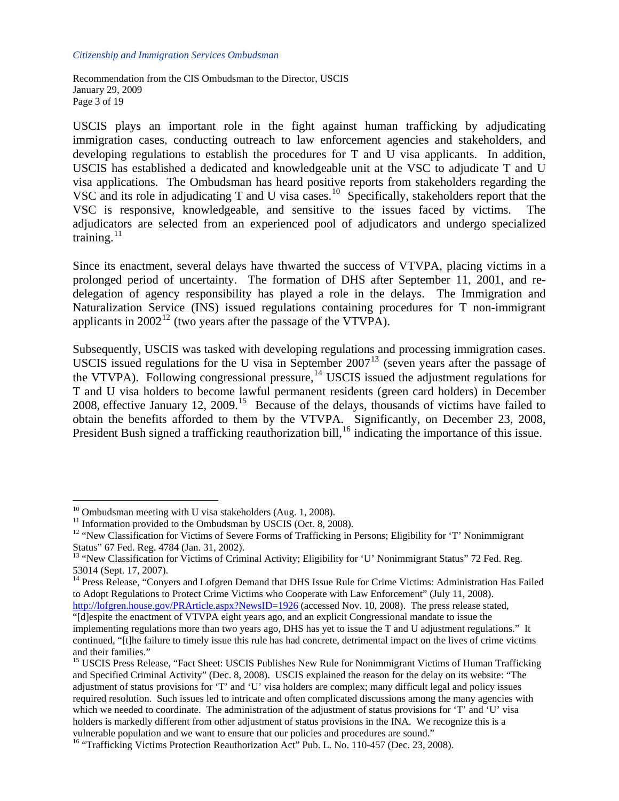Recommendation from the CIS Ombudsman to the Director, USCIS January 29, 2009 Page 3 of 19

USCIS plays an important role in the fight against human trafficking by adjudicating immigration cases, conducting outreach to law enforcement agencies and stakeholders, and developing regulations to establish the procedures for T and U visa applicants. In addition, USCIS has established a dedicated and knowledgeable unit at the VSC to adjudicate T and U visa applications. The Ombudsman has heard positive reports from stakeholders regarding the VSC and its role in adjudicating T and U visa cases.<sup>[10](#page-2-0)</sup> Specifically, stakeholders report that the VSC is responsive, knowledgeable, and sensitive to the issues faced by victims. The adjudicators are selected from an experienced pool of adjudicators and undergo specialized training. $11$ 

Since its enactment, several delays have thwarted the success of VTVPA, placing victims in a prolonged period of uncertainty. The formation of DHS after September 11, 2001, and redelegation of agency responsibility has played a role in the delays. The Immigration and Naturalization Service (INS) issued regulations containing procedures for T non-immigrant applicants in  $2002^{12}$  $2002^{12}$  $2002^{12}$  (two years after the passage of the VTVPA).

Subsequently, USCIS was tasked with developing regulations and processing immigration cases. USCIS issued regulations for the U visa in September  $2007<sup>13</sup>$  $2007<sup>13</sup>$  $2007<sup>13</sup>$  (seven years after the passage of the VTVPA). Following congressional pressure,<sup>[14](#page-2-4)</sup> USCIS issued the adjustment regulations for T and U visa holders to become lawful permanent residents (green card holders) in December 2008, effective January 12, 2009.<sup>[15](#page-2-5)</sup> Because of the delays, thousands of victims have failed to obtain the benefits afforded to them by the VTVPA. Significantly, on December 23, 2008, President Bush signed a trafficking reauthorization bill,<sup>[16](#page-2-6)</sup> indicating the importance of this issue.

 $10$  Ombudsman meeting with U visa stakeholders (Aug. 1, 2008).

<span id="page-2-1"></span><span id="page-2-0"></span> $11$  Information provided to the Ombudsman by USCIS (Oct. 8, 2008).

<span id="page-2-2"></span><sup>&</sup>lt;sup>12</sup> "New Classification for Victims of Severe Forms of Trafficking in Persons; Eligibility for 'T' Nonimmigrant Status" 67 Fed. Reg. 4784 (Jan. 31, 2002).

<span id="page-2-3"></span><sup>&</sup>lt;sup>13</sup> "New Classification for Victims of Criminal Activity; Eligibility for 'U' Nonimmigrant Status'' 72 Fed. Reg. 53014 (Sept. 17, 2007).

<span id="page-2-4"></span><sup>&</sup>lt;sup>14</sup> Press Release, "Conyers and Lofgren Demand that DHS Issue Rule for Crime Victims: Administration Has Failed to Adopt Regulations to Protect Crime Victims who Cooperate with Law Enforcement" (July 11, 2008).

<http://lofgren.house.gov/PRArticle.aspx?NewsID=1926> (accessed Nov. 10, 2008). The press release stated, "[d]espite the enactment of VTVPA eight years ago, and an explicit Congressional mandate to issue the

implementing regulations more than two years ago, DHS has yet to issue the T and U adjustment regulations." It continued, "[t]he failure to timely issue this rule has had concrete, detrimental impact on the lives of crime victims and their families."

<span id="page-2-5"></span><sup>&</sup>lt;sup>15</sup> USCIS Press Release, "Fact Sheet: USCIS Publishes New Rule for Nonimmigrant Victims of Human Trafficking and Specified Criminal Activity" (Dec. 8, 2008). USCIS explained the reason for the delay on its website: "The adjustment of status provisions for 'T' and 'U' visa holders are complex; many difficult legal and policy issues required resolution. Such issues led to intricate and often complicated discussions among the many agencies with which we needed to coordinate. The administration of the adjustment of status provisions for 'T' and 'U' visa holders is markedly different from other adjustment of status provisions in the INA. We recognize this is a vulnerable population and we want to ensure that our policies and procedures are sound."

<span id="page-2-6"></span><sup>&</sup>lt;sup>16</sup> "Trafficking Victims Protection Reauthorization Act" Pub. L. No. 110-457 (Dec. 23, 2008).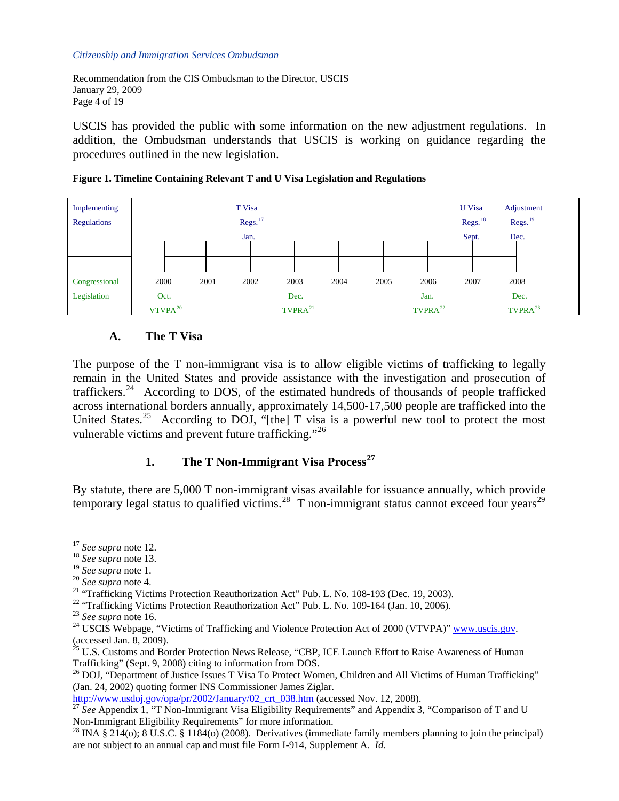Recommendation from the CIS Ombudsman to the Director, USCIS January 29, 2009 Page 4 of 19

USCIS has provided the public with some information on the new adjustment regulations. In addition, the Ombudsman understands that USCIS is working on guidance regarding the procedures outlined in the new legislation.





### **A. The T Visa**

The purpose of the T non-immigrant visa is to allow eligible victims of trafficking to legally remain in the United States and provide assistance with the investigation and prosecution of traffickers.<sup>[24](#page-3-7)</sup> According to DOS, of the estimated hundreds of thousands of people trafficked across international borders annually, approximately 14,500-17,500 people are trafficked into the United States.<sup>[25](#page-3-8)</sup> According to DOJ, "[the] T visa is a powerful new tool to protect the most vulnerable victims and prevent future trafficking."<sup>[26](#page-3-9)</sup>

# **1. The T Non-Immigrant Visa Process[27](#page-3-10)**

By statute, there are 5,000 T non-immigrant visas available for issuance annually, which provide temporary legal status to qualified victims.<sup>[28](#page-3-11)</sup> T non-immigrant status cannot exceed four years<sup>29</sup>

<span id="page-3-1"></span><span id="page-3-0"></span> $17$  See supra note 12.

<sup>&</sup>lt;sup>18</sup> *See supra* note 13.<br><sup>19</sup> *See supra* note 1.

<span id="page-3-4"></span><span id="page-3-3"></span><span id="page-3-2"></span><sup>&</sup>lt;sup>20</sup> *See supra* note 4. *20 See supra* note 4. *21 Comparer 1. 2003 Comparer 1. 2003 Comparer 1. 2003 Comparer 1. 2003 Comparer 1. 2003 Comparer 1. 2003 Comparer 1. 2003 Comparer 1. 2003 Comparer 1. 20* 

<span id="page-3-5"></span><sup>&</sup>lt;sup>22</sup> "Trafficking Victims Protection Reauthorization Act" Pub. L. No. 109-164 (Jan. 10, 2006).<br><sup>23</sup> See supra note 16.

<span id="page-3-7"></span><span id="page-3-6"></span><sup>&</sup>lt;sup>24</sup> USCIS Webpage, "Victims of Trafficking and Violence Protection Act of 2000 (VTVPA)" [www.uscis.gov](http://www.uscis.gov/). (accessed Jan. 8, 2009).

<span id="page-3-8"></span><sup>&</sup>lt;sup>25</sup> U.S. Customs and Border Protection News Release, "CBP, ICE Launch Effort to Raise Awareness of Human Trafficking" (Sept. 9, 2008) citing to information from DOS.<br><sup>26</sup> DOJ, "Department of Justice Issues T Visa To Protect Women, Children and All Victims of Human Trafficking"

<span id="page-3-9"></span><sup>(</sup>Jan. 24, 2002) quoting former INS Commissioner James Ziglar.<br>http://www.usdoj.gov/opa/pr/2002/January/02\_crt\_038.htm (accessed Nov. 12, 2008).

<span id="page-3-10"></span><sup>&</sup>lt;sup>[27](http://www.usdoj.gov/opa/pr/2002/January/02_crt_038.htm)</sup> See Appendix 1, "T Non-Immigrant Visa Eligibility Requirements" and Appendix 3, "Comparison of T and U Non-Immigrant Eligibility Requirements" for more information.

<span id="page-3-11"></span><sup>&</sup>lt;sup>28</sup> INA § 214(o); 8 U.S.C. § 1184(o) (2008). Derivatives (immediate family members planning to join the principal) are not subject to an annual cap and must file Form I-914, Supplement A. *Id*.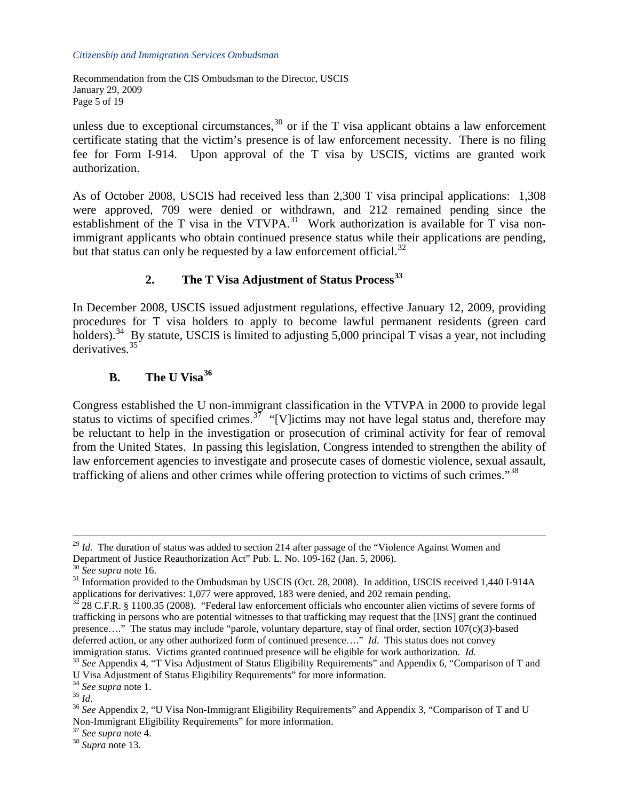Recommendation from the CIS Ombudsman to the Director, USCIS January 29, 2009 Page 5 of 19

unless due to exceptional circumstances,  $30$  or if the T visa applicant obtains a law enforcement certificate stating that the victim's presence is of law enforcement necessity. There is no filing fee for Form I-914. Upon approval of the T visa by USCIS, victims are granted work authorization.

As of October 2008, USCIS had received less than 2,300 T visa principal applications: 1,308 were approved, 709 were denied or withdrawn, and 212 remained pending since the establishment of the T visa in the VTVPA. $31$  Work authorization is available for T visa nonimmigrant applicants who obtain continued presence status while their applications are pending, but that status can only be requested by a law enforcement official.<sup>[32](#page-4-2)</sup>

# **2. The T Visa Adjustment of Status Process[33](#page-4-3)**

In December 2008, USCIS issued adjustment regulations, effective January 12, 2009, providing procedures for T visa holders to apply to become lawful permanent residents (green card holders).<sup>[34](#page-4-4)</sup> By statute, USCIS is limited to adjusting 5,000 principal T visas a year, not including derivatives.<sup>[35](#page-4-5)</sup>

# **B. The U Visa[36](#page-4-6)**

Congress established the U non-immigrant classification in the VTVPA in 2000 to provide legal status to victims of specified crimes.<sup>[37](#page-4-7)</sup> "[V]ictims may not have legal status and, therefore may be reluctant to help in the investigation or prosecution of criminal activity for fear of removal from the United States. In passing this legislation, Congress intended to strengthen the ability of law enforcement agencies to investigate and prosecute cases of domestic violence, sexual assault, trafficking of aliens and other crimes while offering protection to victims of such crimes."<sup>[38](#page-4-8)</sup>

<sup>&</sup>lt;sup>29</sup> *Id.* The duration of status was added to section 214 after passage of the "Violence Against Women and Department of Justice Reauthorization Act" Pub. L. No. 109-162 (Jan. 5, 2006).

<span id="page-4-1"></span><span id="page-4-0"></span><sup>&</sup>lt;sup>30</sup> *See supra* note 16.<br><sup>31</sup> Information provided to the Ombudsman by USCIS (Oct. 28, 2008). In addition, USCIS received 1,440 I-914A applications for derivatives: 1,077 were approved, 183 were denied, and 202 remain pending.<br><sup>32</sup> 28 C.F.R. § 1100.35 (2008). "Federal law enforcement officials who encounter alien victims of severe forms of

<span id="page-4-2"></span>trafficking in persons who are potential witnesses to that trafficking may request that the [INS] grant the continued presence…." The status may include "parole, voluntary departure, stay of final order, section 107(c)(3)-based deferred action, or any other authorized form of continued presence…." *Id*. This status does not convey

<span id="page-4-3"></span>immigration status. Victims granted continued presence will be eligible for work authorization. *Id.* <sup>33</sup> *See* Appendix 4, "T Visa Adjustment of Status Eligibility Requirements" and Appendix 6, "Comparison of T and U Visa Adjustment of Status Eligibility Requirements" for more information.  $34$  See supra note 1.

<span id="page-4-6"></span><span id="page-4-5"></span><span id="page-4-4"></span><sup>&</sup>lt;sup>35</sup> *Id.* 35 *Id.* 35 *Id.* 36 *See Supra* note 1.<br><sup>36</sup> *See* Appendix 2, "U Visa Non-Immigrant Eligibility Requirements" and Appendix 3, "Comparison of T and U Non-Immigrant Eligibility Requirements" for more information.

<span id="page-4-8"></span><span id="page-4-7"></span><sup>37</sup> *See supra* note 4. 38 *Supra* note 13.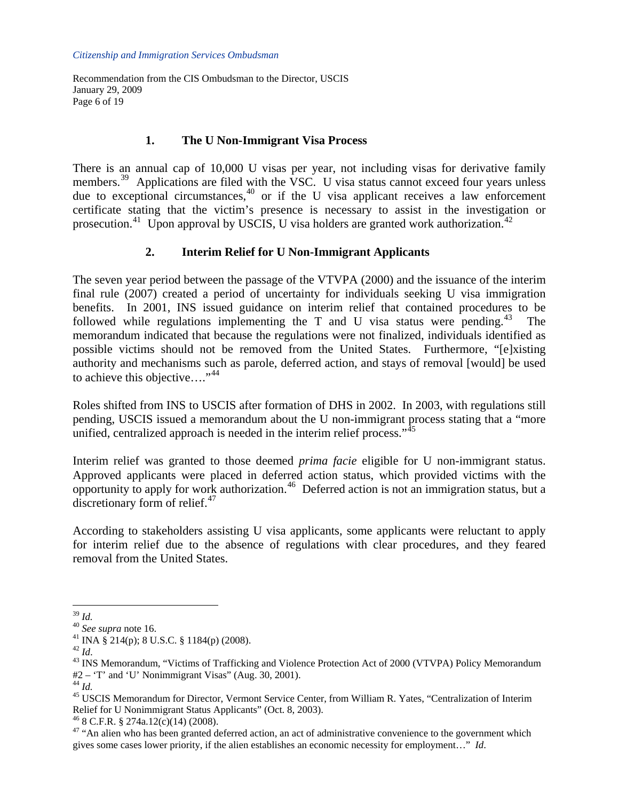Recommendation from the CIS Ombudsman to the Director, USCIS January 29, 2009 Page 6 of 19

## **1. The U Non-Immigrant Visa Process**

There is an annual cap of 10,000 U visas per year, not including visas for derivative family members.<sup>[39](#page-5-0)</sup> Applications are filed with the VSC. U visa status cannot exceed four years unless due to exceptional circumstances, $40$  or if the U visa applicant receives a law enforcement certificate stating that the victim's presence is necessary to assist in the investigation or prosecution.<sup>[41](#page-5-2)</sup> Upon approval by USCIS, U visa holders are granted work authorization.<sup>[42](#page-5-3)</sup>

## **2. Interim Relief for U Non-Immigrant Applicants**

The seven year period between the passage of the VTVPA (2000) and the issuance of the interim final rule (2007) created a period of uncertainty for individuals seeking U visa immigration benefits. In 2001, INS issued guidance on interim relief that contained procedures to be followed while regulations implementing the T and U visa status were pending.<sup>[43](#page-5-4)</sup> The memorandum indicated that because the regulations were not finalized, individuals identified as possible victims should not be removed from the United States. Furthermore, "[e]xisting authority and mechanisms such as parole, deferred action, and stays of removal [would] be used to achieve this objective...."<sup>[44](#page-5-5)</sup>

Roles shifted from INS to USCIS after formation of DHS in 2002. In 2003, with regulations still pending, USCIS issued a memorandum about the U non-immigrant process stating that a "more unified, centralized approach is needed in the interim relief process."<sup>[45](#page-5-6)</sup>

Interim relief was granted to those deemed *prima facie* eligible for U non-immigrant status. Approved applicants were placed in deferred action status, which provided victims with the opportunity to apply for work authorization.<sup>46</sup> Deferred action is not an immigration status, but a discretionary form of relief.<sup>[47](#page-5-8)</sup>

According to stakeholders assisting U visa applicants, some applicants were reluctant to apply for interim relief due to the absence of regulations with clear procedures, and they feared removal from the United States.

<span id="page-5-0"></span> $39$  Id.

<span id="page-5-2"></span><span id="page-5-1"></span><sup>&</sup>lt;sup>40</sup> *See supra* note 16.<br><sup>41</sup> INA § 214(p); 8 U.S.C. § 1184(p) (2008).<br><sup>42</sup> Id

<span id="page-5-4"></span><span id="page-5-3"></span><sup>&</sup>lt;sup>43</sup> INS Memorandum, "Victims of Trafficking and Violence Protection Act of 2000 (VTVPA) Policy Memorandum #2 – 'T' and 'U' Nonimmigrant Visas'' (Aug. 30, 2001).<br><sup>44</sup>  $Id$ .

<span id="page-5-6"></span><span id="page-5-5"></span><sup>&</sup>lt;sup>45</sup> USCIS Memorandum for Director, Vermont Service Center, from William R. Yates, "Centralization of Interim Relief for U Nonimmigrant Status Applicants" (Oct. 8, 2003). 46 8 C.F.R. § 274a.12(c)(14) (2008).

<span id="page-5-8"></span><span id="page-5-7"></span><sup>&</sup>lt;sup>47</sup> "An alien who has been granted deferred action, an act of administrative convenience to the government which gives some cases lower priority, if the alien establishes an economic necessity for employment…" *Id*.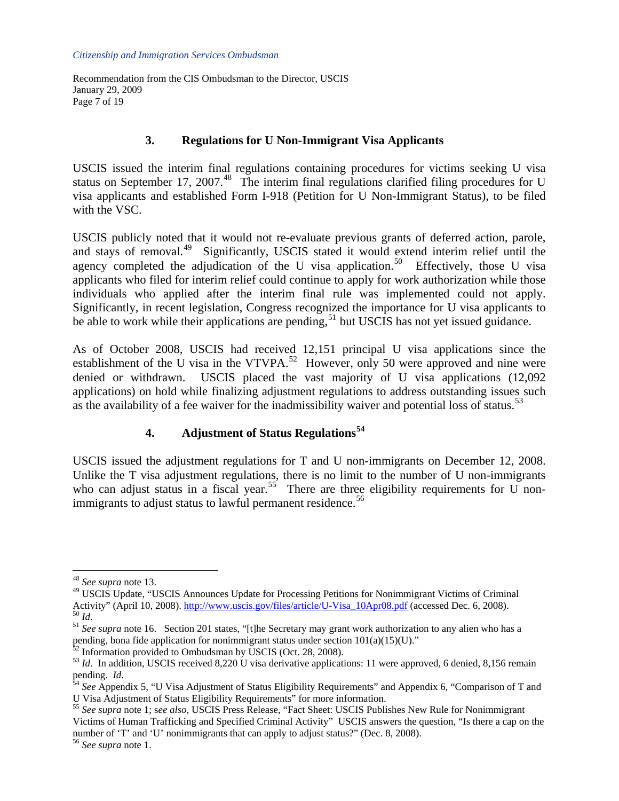Recommendation from the CIS Ombudsman to the Director, USCIS January 29, 2009 Page 7 of 19

### **3. Regulations for U Non-Immigrant Visa Applicants**

USCIS issued the interim final regulations containing procedures for victims seeking U visa status on September 17, 2007.<sup>[48](#page-6-0)</sup> The interim final regulations clarified filing procedures for U visa applicants and established Form I-918 (Petition for U Non-Immigrant Status), to be filed with the VSC.

USCIS publicly noted that it would not re-evaluate previous grants of deferred action, parole, and stays of removal.<sup>[49](#page-6-1)</sup> Significantly, USCIS stated it would extend interim relief until the agency completed the adjudication of the U visa application.<sup>[50](#page-6-2)</sup> Effectively, those U visa applicants who filed for interim relief could continue to apply for work authorization while those individuals who applied after the interim final rule was implemented could not apply. Significantly, in recent legislation, Congress recognized the importance for U visa applicants to be able to work while their applications are pending,<sup>[51](#page-6-3)</sup> but USCIS has not yet issued guidance.

As of October 2008, USCIS had received 12,151 principal U visa applications since the establishment of the U visa in the VTVPA.<sup>[52](#page-6-4)</sup> However, only 50 were approved and nine were denied or withdrawn. USCIS placed the vast majority of U visa applications (12,092 applications) on hold while finalizing adjustment regulations to address outstanding issues such as the availability of a fee waiver for the inadmissibility waiver and potential loss of status.<sup>[53](#page-6-5)</sup>

# **4. Adjustment of Status Regulations[54](#page-6-6)**

USCIS issued the adjustment regulations for T and U non-immigrants on December 12, 2008. Unlike the T visa adjustment regulations, there is no limit to the number of U non-immigrants who can adjust status in a fiscal year.<sup>[55](#page-6-7)</sup> There are three eligibility requirements for U non-immigrants to adjust status to lawful permanent residence.<sup>[56](#page-6-8)</sup>

<sup>48</sup> *See supra* note 13.

<span id="page-6-1"></span><span id="page-6-0"></span><sup>&</sup>lt;sup>49</sup> USCIS Update, "USCIS Announces Update for Processing Petitions for Nonimmigrant Victims of Criminal Activity" (April 10, 2008). [http://www.uscis.gov/files/article/U-Visa\\_10Apr08.pdf](http://www.uscis.gov/files/article/U-Visa_10Apr08.pdf) (accessed Dec. 6, 2008).<br><sup>50</sup> Id. See supra note 16. Section 201 states, "[t]he Secretary may grant work authorization to any alien who has

<span id="page-6-3"></span><span id="page-6-2"></span>pending, bona fide application for nonimmigrant status under section  $101(a)(15)(U)$ ."

<span id="page-6-4"></span>Information provided to Ombudsman by USCIS (Oct. 28, 2008).

<span id="page-6-5"></span><sup>&</sup>lt;sup>53</sup> *Id.* In addition, USCIS received 8,220 U visa derivative applications: 11 were approved, 6 denied, 8,156 remain

<span id="page-6-6"></span>pending. *Id.*<br><sup>54</sup> See Appendix 5, "U Visa Adjustment of Status Eligibility Requirements" and Appendix 6, "Comparison of T and U Visa Adjustment of Status Eligibility Requirements" for more information.

<span id="page-6-7"></span><sup>55</sup> *See supra* note 1; s*ee also*, USCIS Press Release, "Fact Sheet: USCIS Publishes New Rule for Nonimmigrant Victims of Human Trafficking and Specified Criminal Activity" USCIS answers the question, "Is there a cap on the number of 'T' and 'U' nonimmigrants that can apply to adjust status?" (Dec. 8, 2008).

<span id="page-6-8"></span><sup>56</sup> *See supra* note 1.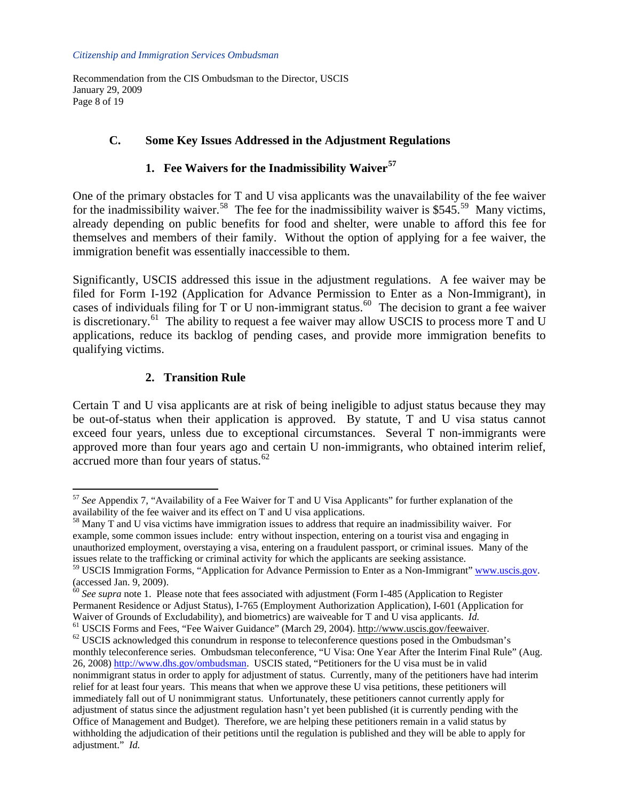Recommendation from the CIS Ombudsman to the Director, USCIS January 29, 2009 Page 8 of 19

# **C. Some Key Issues Addressed in the Adjustment Regulations**

# **1. Fee Waivers for the Inadmissibility Waiver[57](#page-7-0)**

One of the primary obstacles for T and U visa applicants was the unavailability of the fee waiver for the inadmissibility waiver.<sup>[58](#page-7-1)</sup> The fee for the inadmissibility waiver is \$545.<sup>[59](#page-7-2)</sup> Many victims, already depending on public benefits for food and shelter, were unable to afford this fee for themselves and members of their family. Without the option of applying for a fee waiver, the immigration benefit was essentially inaccessible to them.

Significantly, USCIS addressed this issue in the adjustment regulations. A fee waiver may be filed for Form I-192 (Application for Advance Permission to Enter as a Non-Immigrant), in cases of individuals filing for T or U non-immigrant status.<sup>[60](#page-7-3)</sup> The decision to grant a fee waiver is discretionary.<sup>[61](#page-7-4)</sup> The ability to request a fee waiver may allow USCIS to process more T and U applications, reduce its backlog of pending cases, and provide more immigration benefits to qualifying victims.

# **2. Transition Rule**

 $\overline{a}$ 

Certain T and U visa applicants are at risk of being ineligible to adjust status because they may be out-of-status when their application is approved. By statute, T and U visa status cannot exceed four years, unless due to exceptional circumstances. Several T non-immigrants were approved more than four years ago and certain U non-immigrants, who obtained interim relief, accrued more than four years of status.<sup>[62](#page-7-5)</sup>

<span id="page-7-1"></span> $58$  Many T and U visa victims have immigration issues to address that require an inadmissibility waiver. For example, some common issues include: entry without inspection, entering on a tourist visa and engaging in unauthorized employment, overstaying a visa, entering on a fraudulent passport, or criminal issues. Many of the issues relate to the trafficking or criminal activity for which the applicants are seeking assistance.

<span id="page-7-0"></span><sup>57</sup> *See* Appendix 7, "Availability of a Fee Waiver for T and U Visa Applicants" for further explanation of the availability of the fee waiver and its effect on T and U visa applications.

<span id="page-7-2"></span><sup>&</sup>lt;sup>59</sup> USCIS Immigration Forms, "Application for Advance Permission to Enter as a Non-Immigrant" [www.uscis.gov.](http://www.uscis.gov/) (accessed Jan. 9, 2009).

<span id="page-7-3"></span><sup>&</sup>lt;sup>60</sup> See supra note 1. Please note that fees associated with adjustment (Form I-485 (Application to Register Permanent Residence or Adjust Status), I-765 (Employment Authorization Application), I-601 (Application for

<span id="page-7-5"></span><span id="page-7-4"></span>Waiver of Grounds of Excludability), and biometrics) are waiveable for T and U visa applicants. *Id.*<br><sup>61</sup> USCIS Forms and Fees, "Fee Waiver Guidance" (March 29, 2004). http://www.uscis.gov/feewaiver.<br><sup>62</sup> USCIS acknowled monthly teleconference series. Ombudsman teleconference, "U Visa: One Year After the Interim Final Rule" (Aug. 26, 2008) [http://www.dhs.gov/ombudsman.](http://www.dhs.gov/ombudsman) USCIS stated, "Petitioners for the U visa must be in valid nonimmigrant status in order to apply for adjustment of status. Currently, many of the petitioners have had interim relief for at least four years. This means that when we approve these U visa petitions, these petitioners will immediately fall out of U nonimmigrant status. Unfortunately, these petitioners cannot currently apply for adjustment of status since the adjustment regulation hasn't yet been published (it is currently pending with the Office of Management and Budget). Therefore, we are helping these petitioners remain in a valid status by withholding the adjudication of their petitions until the regulation is published and they will be able to apply for adjustment." *Id.*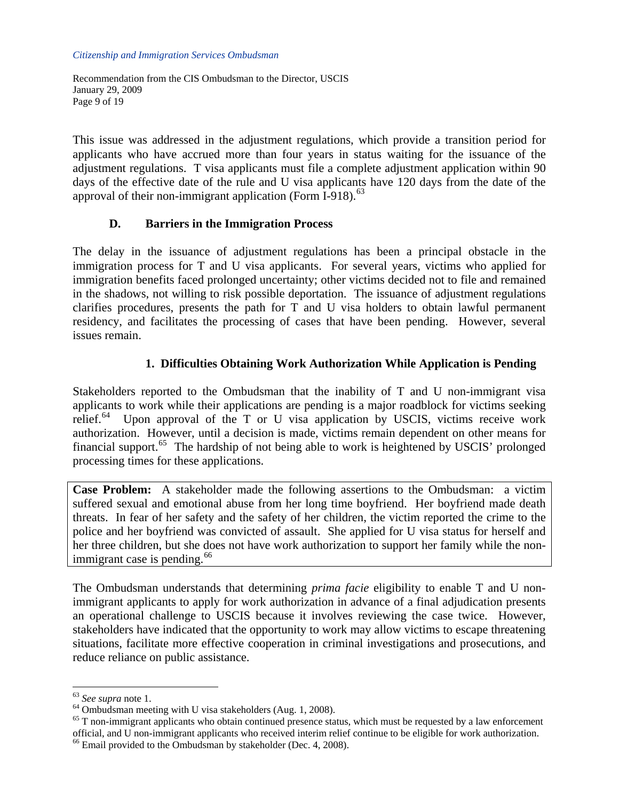Recommendation from the CIS Ombudsman to the Director, USCIS January 29, 2009 Page 9 of 19

This issue was addressed in the adjustment regulations, which provide a transition period for applicants who have accrued more than four years in status waiting for the issuance of the adjustment regulations. T visa applicants must file a complete adjustment application within 90 days of the effective date of the rule and U visa applicants have 120 days from the date of the approval of their non-immigrant application (Form I-918).<sup>[63](#page-8-0)</sup>

## **D. Barriers in the Immigration Process**

The delay in the issuance of adjustment regulations has been a principal obstacle in the immigration process for T and U visa applicants. For several years, victims who applied for immigration benefits faced prolonged uncertainty; other victims decided not to file and remained in the shadows, not willing to risk possible deportation. The issuance of adjustment regulations clarifies procedures, presents the path for T and U visa holders to obtain lawful permanent residency, and facilitates the processing of cases that have been pending. However, several issues remain.

# **1. Difficulties Obtaining Work Authorization While Application is Pending**

Stakeholders reported to the Ombudsman that the inability of T and U non-immigrant visa applicants to work while their applications are pending is a major roadblock for victims seeking relief. $64$  Upon approval of the T or U visa application by USCIS, victims receive work authorization. However, until a decision is made, victims remain dependent on other means for financial support.<sup>[65](#page-8-2)</sup> The hardship of not being able to work is heightened by USCIS' prolonged processing times for these applications.

**Case Problem:** A stakeholder made the following assertions to the Ombudsman: a victim suffered sexual and emotional abuse from her long time boyfriend. Her boyfriend made death threats. In fear of her safety and the safety of her children, the victim reported the crime to the police and her boyfriend was convicted of assault. She applied for U visa status for herself and her three children, but she does not have work authorization to support her family while the nonimmigrant case is pending. $66$ 

The Ombudsman understands that determining *prima facie* eligibility to enable T and U nonimmigrant applicants to apply for work authorization in advance of a final adjudication presents an operational challenge to USCIS because it involves reviewing the case twice. However, stakeholders have indicated that the opportunity to work may allow victims to escape threatening situations, facilitate more effective cooperation in criminal investigations and prosecutions, and reduce reliance on public assistance.

<span id="page-8-0"></span><sup>&</sup>lt;sup>63</sup> See supra note 1.<br><sup>64</sup> Ombudsman meeting with U visa stakeholders (Aug. 1, 2008).

<span id="page-8-2"></span><span id="page-8-1"></span> $65$  T non-immigrant applicants who obtain continued presence status, which must be requested by a law enforcement official, and U non-immigrant applicants who received interim relief continue to be eligible for work authorization. 66 Email provided to the Ombudsman by stakeholder (Dec. 4, 2008).

<span id="page-8-3"></span>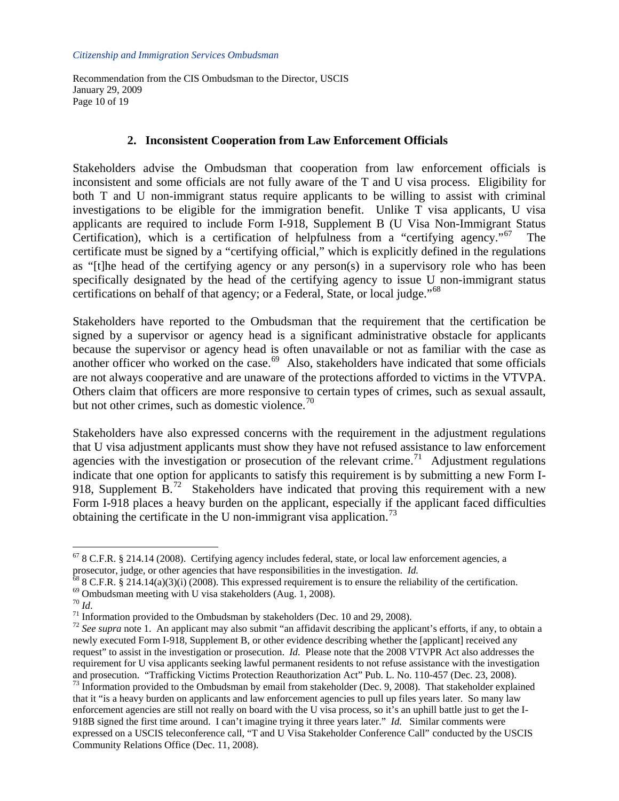Recommendation from the CIS Ombudsman to the Director, USCIS January 29, 2009 Page 10 of 19

### **2. Inconsistent Cooperation from Law Enforcement Officials**

Stakeholders advise the Ombudsman that cooperation from law enforcement officials is inconsistent and some officials are not fully aware of the T and U visa process. Eligibility for both T and U non-immigrant status require applicants to be willing to assist with criminal investigations to be eligible for the immigration benefit. Unlike T visa applicants, U visa applicants are required to include Form I-918, Supplement B (U Visa Non-Immigrant Status Certification), which is a certification of helpfulness from a "certifying agency."<sup>[67](#page-9-0)</sup> certificate must be signed by a "certifying official," which is explicitly defined in the regulations as "[t]he head of the certifying agency or any person(s) in a supervisory role who has been specifically designated by the head of the certifying agency to issue U non-immigrant status certifications on behalf of that agency; or a Federal, State, or local judge."<sup>[68](#page-9-1)</sup>

Stakeholders have reported to the Ombudsman that the requirement that the certification be signed by a supervisor or agency head is a significant administrative obstacle for applicants because the supervisor or agency head is often unavailable or not as familiar with the case as another officer who worked on the case.<sup>[69](#page-9-2)</sup> Also, stakeholders have indicated that some officials are not always cooperative and are unaware of the protections afforded to victims in the VTVPA. Others claim that officers are more responsive to certain types of crimes, such as sexual assault, but not other crimes, such as domestic violence.<sup>[70](#page-9-3)</sup>

Stakeholders have also expressed concerns with the requirement in the adjustment regulations that U visa adjustment applicants must show they have not refused assistance to law enforcement agencies with the investigation or prosecution of the relevant crime.<sup>[71](#page-9-4)</sup> Adjustment regulations indicate that one option for applicants to satisfy this requirement is by submitting a new Form I-918, Supplement  $B<sup>72</sup>$  $B<sup>72</sup>$  $B<sup>72</sup>$  Stakeholders have indicated that proving this requirement with a new Form I-918 places a heavy burden on the applicant, especially if the applicant faced difficulties obtaining the certificate in the U non-immigrant visa application.<sup>[73](#page-9-6)</sup>

<span id="page-9-6"></span>Community Relations Office (Dec. 11, 2008).

<span id="page-9-0"></span><sup>67 8</sup> C.F.R. § 214.14 (2008). Certifying agency includes federal, state, or local law enforcement agencies, a prosecutor, judge, or other agencies that have responsibilities in the investigation. *Id.*<br><sup>68</sup> 8 C.F.R. § 214.14(a)(3)(i) (2008). This expressed requirement is to ensure the reliability of the certification.<br><sup>69</sup> Ombuds

<span id="page-9-1"></span>

<span id="page-9-2"></span>

<span id="page-9-4"></span><span id="page-9-3"></span> $^{71}$  Information provided to the Ombudsman by stakeholders (Dec. 10 and 29, 2008).

<span id="page-9-5"></span><sup>&</sup>lt;sup>72</sup> See supra note 1. An applicant may also submit "an affidavit describing the applicant's efforts, if any, to obtain a newly executed Form I-918, Supplement B, or other evidence describing whether the [applicant] received any request" to assist in the investigation or prosecution. *Id.* Please note that the 2008 VTVPR Act also addresses the requirement for U visa applicants seeking lawful permanent residents to not refuse assistance with the investigation and prosecution. "Trafficking Victims Protection Reauthorization Act" Pub. L. No. 110-457 (Dec. 23, 2008). <sup>73</sup> Information provided to the Ombudsman by email from stakeholder (Dec. 9, 2008). That stakeholder explained that it "is a heavy burden on applicants and law enforcement agencies to pull up files years later. So many law enforcement agencies are still not really on board with the U visa process, so it's an uphill battle just to get the I-918B signed the first time around. I can't imagine trying it three years later." *Id.* Similar comments were expressed on a USCIS teleconference call, "T and U Visa Stakeholder Conference Call" conducted by the USCIS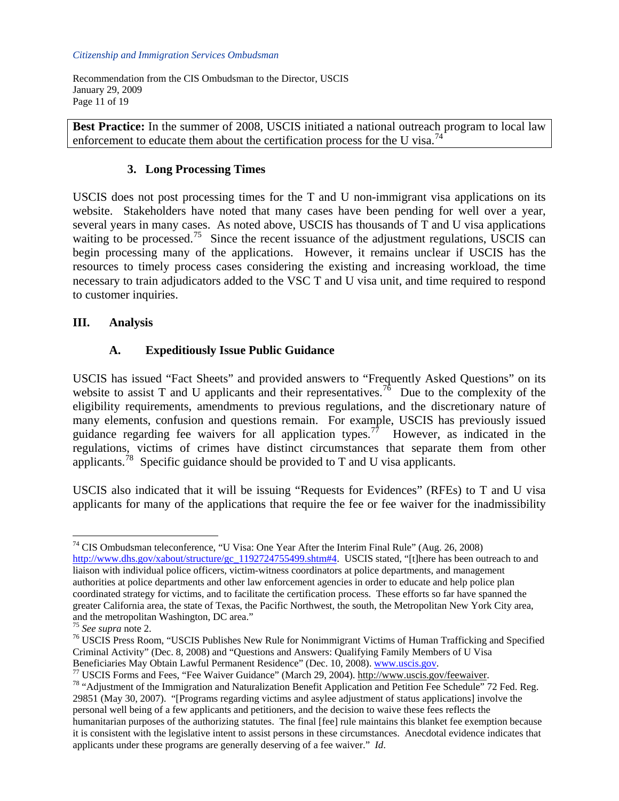Recommendation from the CIS Ombudsman to the Director, USCIS January 29, 2009 Page 11 of 19

**Best Practice:** In the summer of 2008, USCIS initiated a national outreach program to local law enforcement to educate them about the certification process for the U visa.<sup>[74](#page-10-0)</sup>

## **3. Long Processing Times**

USCIS does not post processing times for the T and U non-immigrant visa applications on its website. Stakeholders have noted that many cases have been pending for well over a year, several years in many cases. As noted above, USCIS has thousands of T and U visa applications waiting to be processed.<sup>[75](#page-10-1)</sup> Since the recent issuance of the adjustment regulations, USCIS can begin processing many of the applications. However, it remains unclear if USCIS has the resources to timely process cases considering the existing and increasing workload, the time necessary to train adjudicators added to the VSC T and U visa unit, and time required to respond to customer inquiries.

# **III. Analysis**

# **A. Expeditiously Issue Public Guidance**

USCIS has issued "Fact Sheets" and provided answers to "Frequently Asked Questions" on its website to assist T and U applicants and their representatives.<sup>[76](#page-10-2)</sup> Due to the complexity of the eligibility requirements, amendments to previous regulations, and the discretionary nature of many elements, confusion and questions remain. For example, USCIS has previously issued guidance regarding fee waivers for all application types.<sup>[77](#page-10-3)</sup> However, as indicated in the regulations, victims of crimes have distinct circumstances that separate them from other applicants.<sup>[78](#page-10-4)</sup> Specific guidance should be provided to T and U visa applicants.

USCIS also indicated that it will be issuing "Requests for Evidences" (RFEs) to T and U visa applicants for many of the applications that require the fee or fee waiver for the inadmissibility

<span id="page-10-0"></span><sup>74</sup> CIS Ombudsman teleconference, "U Visa: One Year After the Interim Final Rule" (Aug. 26, 2008) [http://www.dhs.gov/xabout/structure/gc\\_1192724755499.shtm#4](http://www.dhs.gov/xabout/structure/gc_1192724755499.shtm#4). USCIS stated, "[t]here has been outreach to and liaison with individual police officers, victim-witness coordinators at police departments, and management authorities at police departments and other law enforcement agencies in order to educate and help police plan coordinated strategy for victims, and to facilitate the certification process. These efforts so far have spanned the greater California area, the state of Texas, the Pacific Northwest, the south, the Metropolitan New York City area, and the metropolitan Washington, DC area."<br> $\frac{75 \text{ } \text{See} \text{ } \text{supra}}$  note 2.

<span id="page-10-2"></span><span id="page-10-1"></span><sup>&</sup>lt;sup>76</sup> USCIS Press Room, "USCIS Publishes New Rule for Nonimmigrant Victims of Human Trafficking and Specified Criminal Activity" (Dec. 8, 2008) and "Questions and Answers: Qualifying Family Members of U Visa

<span id="page-10-4"></span><span id="page-10-3"></span>

Beneficiaries May Obtain Lawful Permanent Residence" (Dec. 10, 2008). WWW.uscis.gov.<br><sup>77</sup> USCIS Forms and Fees, "Fee Waiver Guidance" (March 29, 2004). http://www.uscis.gov/feewaiver.<br><sup>78</sup> "Adjustment of the Immigration an 29851 (May 30, 2007). "[Programs regarding victims and asylee adjustment of status applications] involve the personal well being of a few applicants and petitioners, and the decision to waive these fees reflects the humanitarian purposes of the authorizing statutes. The final [fee] rule maintains this blanket fee exemption because it is consistent with the legislative intent to assist persons in these circumstances. Anecdotal evidence indicates that applicants under these programs are generally deserving of a fee waiver." *Id*.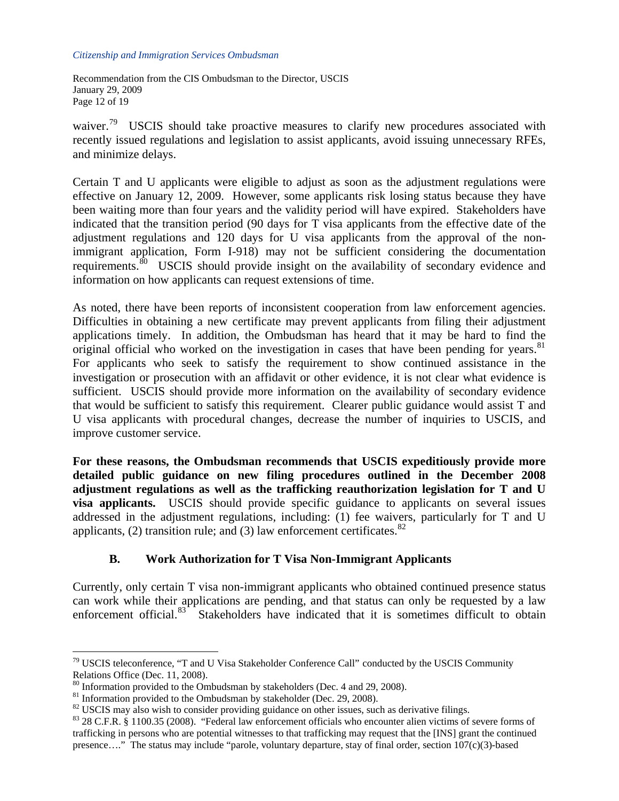Recommendation from the CIS Ombudsman to the Director, USCIS January 29, 2009 Page 12 of 19

waiver.<sup>[79](#page-11-0)</sup> USCIS should take proactive measures to clarify new procedures associated with recently issued regulations and legislation to assist applicants, avoid issuing unnecessary RFEs, and minimize delays.

Certain T and U applicants were eligible to adjust as soon as the adjustment regulations were effective on January 12, 2009. However, some applicants risk losing status because they have been waiting more than four years and the validity period will have expired. Stakeholders have indicated that the transition period (90 days for T visa applicants from the effective date of the adjustment regulations and 120 days for U visa applicants from the approval of the nonimmigrant application, Form I-918) may not be sufficient considering the documentation requirements.<sup>[80](#page-11-1)</sup> USCIS should provide insight on the availability of secondary evidence and information on how applicants can request extensions of time.

As noted, there have been reports of inconsistent cooperation from law enforcement agencies. Difficulties in obtaining a new certificate may prevent applicants from filing their adjustment applications timely. In addition, the Ombudsman has heard that it may be hard to find the original official who worked on the investigation in cases that have been pending for years.<sup>81</sup> For applicants who seek to satisfy the requirement to show continued assistance in the investigation or prosecution with an affidavit or other evidence, it is not clear what evidence is sufficient. USCIS should provide more information on the availability of secondary evidence that would be sufficient to satisfy this requirement. Clearer public guidance would assist T and U visa applicants with procedural changes, decrease the number of inquiries to USCIS, and improve customer service.

**For these reasons, the Ombudsman recommends that USCIS expeditiously provide more detailed public guidance on new filing procedures outlined in the December 2008 adjustment regulations as well as the trafficking reauthorization legislation for T and U visa applicants.** USCIS should provide specific guidance to applicants on several issues addressed in the adjustment regulations, including: (1) fee waivers, particularly for T and U applicants, (2) transition rule; and (3) law enforcement certificates.  $82$ 

## **B. Work Authorization for T Visa Non-Immigrant Applicants**

Currently, only certain T visa non-immigrant applicants who obtained continued presence status can work while their applications are pending, and that status can only be requested by a law enforcement official.<sup>[83](#page-11-4)</sup> Stakeholders have indicated that it is sometimes difficult to obtain

<span id="page-11-0"></span> $79$  USCIS teleconference, "T and U Visa Stakeholder Conference Call" conducted by the USCIS Community Relations Office (Dec. 11, 2008).

<sup>80</sup> Information provided to the Ombudsman by stakeholders (Dec. 4 and 29, 2008).

<span id="page-11-2"></span><span id="page-11-1"></span> $81$  Information provided to the Ombudsman by stakeholder (Dec. 29, 2008).

<span id="page-11-3"></span><sup>&</sup>lt;sup>82</sup> USCIS may also wish to consider providing guidance on other issues, such as derivative filings.

<span id="page-11-4"></span><sup>83 28</sup> C.F.R. § 1100.35 (2008). "Federal law enforcement officials who encounter alien victims of severe forms of trafficking in persons who are potential witnesses to that trafficking may request that the [INS] grant the continued presence…." The status may include "parole, voluntary departure, stay of final order, section 107(c)(3)-based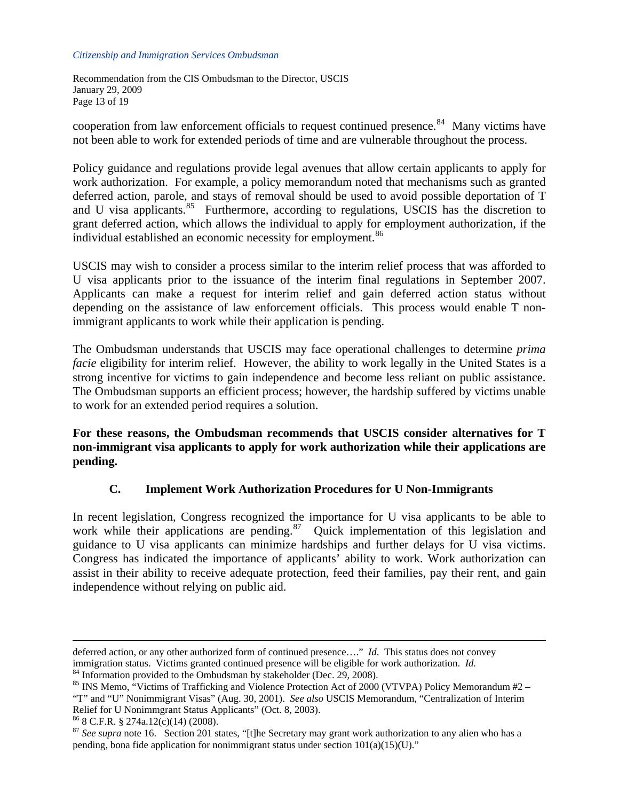Recommendation from the CIS Ombudsman to the Director, USCIS January 29, 2009 Page 13 of 19

cooperation from law enforcement officials to request continued presence.<sup>[84](#page-12-0)</sup> Many victims have not been able to work for extended periods of time and are vulnerable throughout the process.

Policy guidance and regulations provide legal avenues that allow certain applicants to apply for work authorization. For example, a policy memorandum noted that mechanisms such as granted deferred action, parole, and stays of removal should be used to avoid possible deportation of T and U visa applicants.<sup>[85](#page-12-1)</sup> Furthermore, according to regulations, USCIS has the discretion to grant deferred action, which allows the individual to apply for employment authorization, if the individual established an economic necessity for employment.<sup>[86](#page-12-2)</sup>

USCIS may wish to consider a process similar to the interim relief process that was afforded to U visa applicants prior to the issuance of the interim final regulations in September 2007. Applicants can make a request for interim relief and gain deferred action status without depending on the assistance of law enforcement officials. This process would enable T nonimmigrant applicants to work while their application is pending.

The Ombudsman understands that USCIS may face operational challenges to determine *prima facie* eligibility for interim relief. However, the ability to work legally in the United States is a strong incentive for victims to gain independence and become less reliant on public assistance. The Ombudsman supports an efficient process; however, the hardship suffered by victims unable to work for an extended period requires a solution.

**For these reasons, the Ombudsman recommends that USCIS consider alternatives for T non-immigrant visa applicants to apply for work authorization while their applications are pending.** 

## **C. Implement Work Authorization Procedures for U Non-Immigrants**

In recent legislation, Congress recognized the importance for U visa applicants to be able to work while their applications are pending.<sup>[87](#page-12-3)</sup> Quick implementation of this legislation and guidance to U visa applicants can minimize hardships and further delays for U visa victims. Congress has indicated the importance of applicants' ability to work. Work authorization can assist in their ability to receive adequate protection, feed their families, pay their rent, and gain independence without relying on public aid.

deferred action, or any other authorized form of continued presence…." *Id*. This status does not convey immigration status. Victims granted continued presence will be eligible for work authorization. *Id.* <sup>84</sup> Information provided to the Ombudsman by stakeholder (Dec. 29, 2008).

<span id="page-12-0"></span>

<span id="page-12-1"></span><sup>&</sup>lt;sup>85</sup> INS Memo, "Victims of Trafficking and Violence Protection Act of 2000 (VTVPA) Policy Memorandum #2 – "T" and "U" Nonimmigrant Visas" (Aug. 30, 2001). *See also* USCIS Memorandum, "Centralization of Interim Relief for U Nonimmgrant Status Applicants" (Oct. 8, 2003). <sup>86</sup> 8 C.F.R. § 274a.12(c)(14) (2008).

<span id="page-12-2"></span>

<span id="page-12-3"></span><sup>&</sup>lt;sup>87</sup> See supra note 16. Section 201 states, "[t]he Secretary may grant work authorization to any alien who has a pending, bona fide application for nonimmigrant status under section  $101(a)(15)(U)$ ."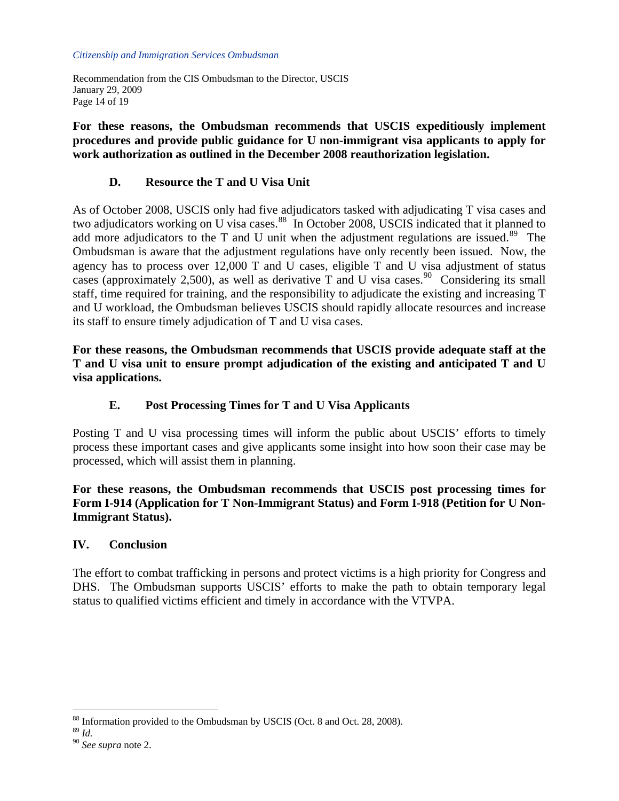Recommendation from the CIS Ombudsman to the Director, USCIS January 29, 2009 Page 14 of 19

**For these reasons, the Ombudsman recommends that USCIS expeditiously implement procedures and provide public guidance for U non-immigrant visa applicants to apply for work authorization as outlined in the December 2008 reauthorization legislation.** 

# **D. Resource the T and U Visa Unit**

As of October 2008, USCIS only had five adjudicators tasked with adjudicating T visa cases and two adjudicators working on U visa cases.<sup>[88](#page-13-0)</sup> In October 2008, USCIS indicated that it planned to add more adjudicators to the T and U unit when the adjustment regulations are issued.<sup>[89](#page-13-1)</sup> The Ombudsman is aware that the adjustment regulations have only recently been issued. Now, the agency has to process over 12,000 T and U cases, eligible T and U visa adjustment of status cases (approximately 2,500), as well as derivative T and U visa cases.<sup>[90](#page-13-2)</sup> Considering its small staff, time required for training, and the responsibility to adjudicate the existing and increasing T and U workload, the Ombudsman believes USCIS should rapidly allocate resources and increase its staff to ensure timely adjudication of T and U visa cases.

**For these reasons, the Ombudsman recommends that USCIS provide adequate staff at the T and U visa unit to ensure prompt adjudication of the existing and anticipated T and U visa applications.** 

# **E. Post Processing Times for T and U Visa Applicants**

Posting T and U visa processing times will inform the public about USCIS' efforts to timely process these important cases and give applicants some insight into how soon their case may be processed, which will assist them in planning.

**For these reasons, the Ombudsman recommends that USCIS post processing times for Form I-914 (Application for T Non-Immigrant Status) and Form I-918 (Petition for U Non-Immigrant Status).** 

## **IV. Conclusion**

The effort to combat trafficking in persons and protect victims is a high priority for Congress and DHS. The Ombudsman supports USCIS' efforts to make the path to obtain temporary legal status to qualified victims efficient and timely in accordance with the VTVPA.

<span id="page-13-0"></span> $^{88}$  Information provided to the Ombudsman by USCIS (Oct. 8 and Oct. 28, 2008).  $^{89}$   $_{\rm Id}$ 

<span id="page-13-1"></span>

<span id="page-13-2"></span><sup>&</sup>lt;sup>90</sup> See supra note 2.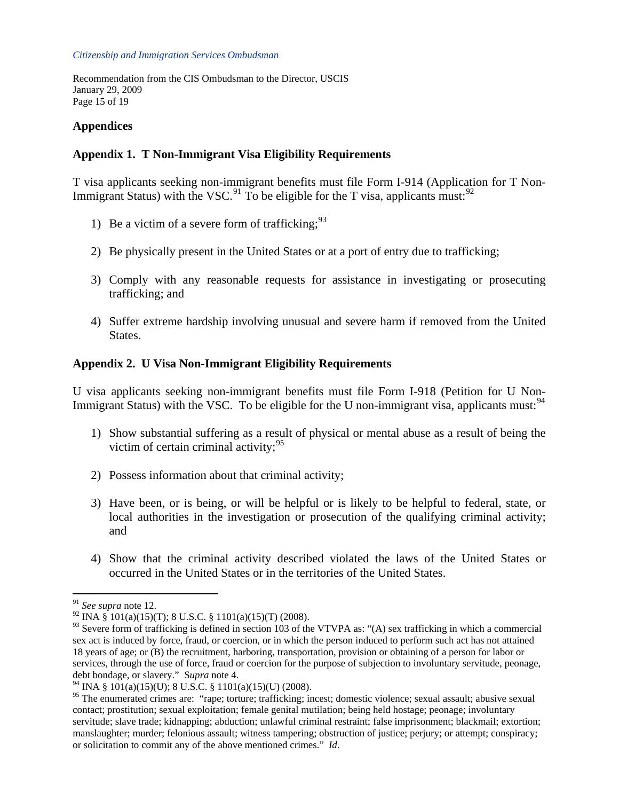Recommendation from the CIS Ombudsman to the Director, USCIS January 29, 2009 Page 15 of 19

# **Appendices**

## **Appendix 1. T Non-Immigrant Visa Eligibility Requirements**

T visa applicants seeking non-immigrant benefits must file Form I-914 (Application for T Non-Immigrant Status) with the VSC.<sup>[91](#page-14-0)</sup> To be eligible for the T visa, applicants must:<sup>[92](#page-14-1)</sup>

- 1) Be a victim of a severe form of trafficking:  $93$
- 2) Be physically present in the United States or at a port of entry due to trafficking;
- 3) Comply with any reasonable requests for assistance in investigating or prosecuting trafficking; and
- 4) Suffer extreme hardship involving unusual and severe harm if removed from the United States.

## **Appendix 2. U Visa Non-Immigrant Eligibility Requirements**

U visa applicants seeking non-immigrant benefits must file Form I-918 (Petition for U Non-Immigrant Status) with the VSC. To be eligible for the U non-immigrant visa, applicants must: $94$ 

- 1) Show substantial suffering as a result of physical or mental abuse as a result of being the victim of certain criminal activity;  $95$
- 2) Possess information about that criminal activity;
- 3) Have been, or is being, or will be helpful or is likely to be helpful to federal, state, or local authorities in the investigation or prosecution of the qualifying criminal activity; and
- 4) Show that the criminal activity described violated the laws of the United States or occurred in the United States or in the territories of the United States.

<span id="page-14-0"></span><sup>91</sup> *See supra* note 12.

<span id="page-14-1"></span><sup>&</sup>lt;sup>92</sup> INA § 101(a)(15)(T); 8 U.S.C. § 1101(a)(15)(T) (2008).

<span id="page-14-2"></span> $93$  Severe form of trafficking is defined in section 103 of the VTVPA as: "(A) sex trafficking in which a commercial sex act is induced by force, fraud, or coercion, or in which the person induced to perform such act has not attained 18 years of age; or (B) the recruitment, harboring, transportation, provision or obtaining of a person for labor or services, through the use of force, fraud or coercion for the purpose of subjection to involuntary servitude, peonage, debt bondage, or slavery." S*upra* note 4.

<span id="page-14-3"></span><sup>&</sup>lt;sup>94</sup> INA § 101(a)(15)(U); 8 U.S.C. § 1101(a)(15)(U) (2008).

<span id="page-14-4"></span><sup>&</sup>lt;sup>95</sup> The enumerated crimes are: "rape; torture; trafficking; incest; domestic violence; sexual assault; abusive sexual contact; prostitution; sexual exploitation; female genital mutilation; being held hostage; peonage; involuntary servitude; slave trade; kidnapping; abduction; unlawful criminal restraint; false imprisonment; blackmail; extortion; manslaughter; murder; felonious assault; witness tampering; obstruction of justice; perjury; or attempt; conspiracy; or solicitation to commit any of the above mentioned crimes." *Id*.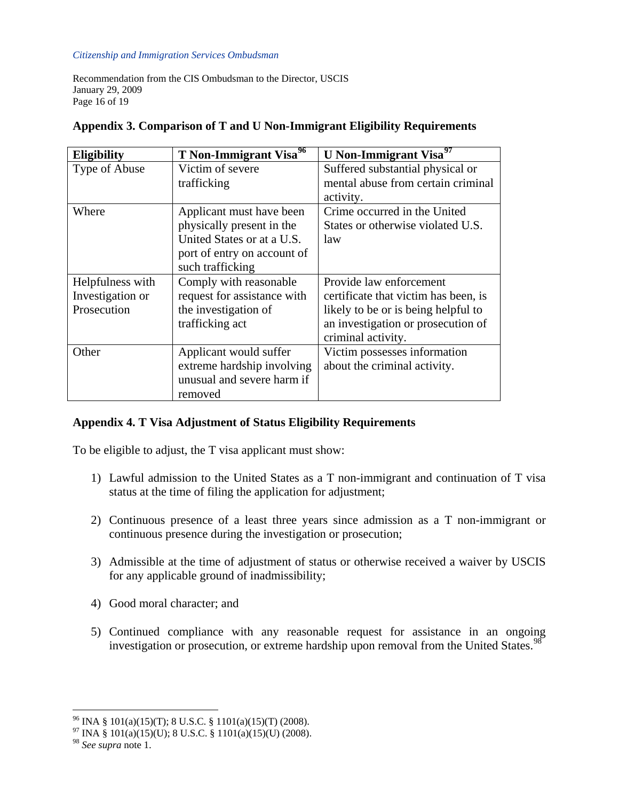Recommendation from the CIS Ombudsman to the Director, USCIS January 29, 2009 Page 16 of 19

| <b>Eligibility</b> | T Non-Immigrant Visa <sup>96</sup> | U Non-Immigrant Visa <sup>97</sup>   |
|--------------------|------------------------------------|--------------------------------------|
| Type of Abuse      | Victim of severe                   | Suffered substantial physical or     |
|                    | trafficking                        | mental abuse from certain criminal   |
|                    |                                    | activity.                            |
| Where              | Applicant must have been           | Crime occurred in the United         |
|                    | physically present in the          | States or otherwise violated U.S.    |
|                    | United States or at a U.S.         | law                                  |
|                    | port of entry on account of        |                                      |
|                    | such trafficking                   |                                      |
| Helpfulness with   | Comply with reasonable             | Provide law enforcement              |
| Investigation or   | request for assistance with        | certificate that victim has been, is |
| Prosecution        | the investigation of               | likely to be or is being helpful to  |
|                    | trafficking act                    | an investigation or prosecution of   |
|                    |                                    | criminal activity.                   |
| Other              | Applicant would suffer             | Victim possesses information         |
|                    | extreme hardship involving         | about the criminal activity.         |
|                    | unusual and severe harm if         |                                      |
|                    | removed                            |                                      |

### **Appendix 3. Comparison of T and U Non-Immigrant Eligibility Requirements**

## **Appendix 4. T Visa Adjustment of Status Eligibility Requirements**

To be eligible to adjust, the T visa applicant must show:

- 1) Lawful admission to the United States as a T non-immigrant and continuation of T visa status at the time of filing the application for adjustment;
- 2) Continuous presence of a least three years since admission as a T non-immigrant or continuous presence during the investigation or prosecution;
- 3) Admissible at the time of adjustment of status or otherwise received a waiver by USCIS for any applicable ground of inadmissibility;
- 4) Good moral character; and
- 5) Continued compliance with any reasonable request for assistance in an ongoing investigation or prosecution, or extreme hardship upon removal from the United States.<sup>[98](#page-15-2)</sup>

<span id="page-15-0"></span> $^{96}$  INA § 101(a)(15)(T); 8 U.S.C. § 1101(a)(15)(T) (2008).

 $^{97}$  INA § 101(a)(15)(U); 8 U.S.C. § 1101(a)(15)(U) (2008).

<span id="page-15-2"></span><span id="page-15-1"></span><sup>98</sup> *See supra* note 1.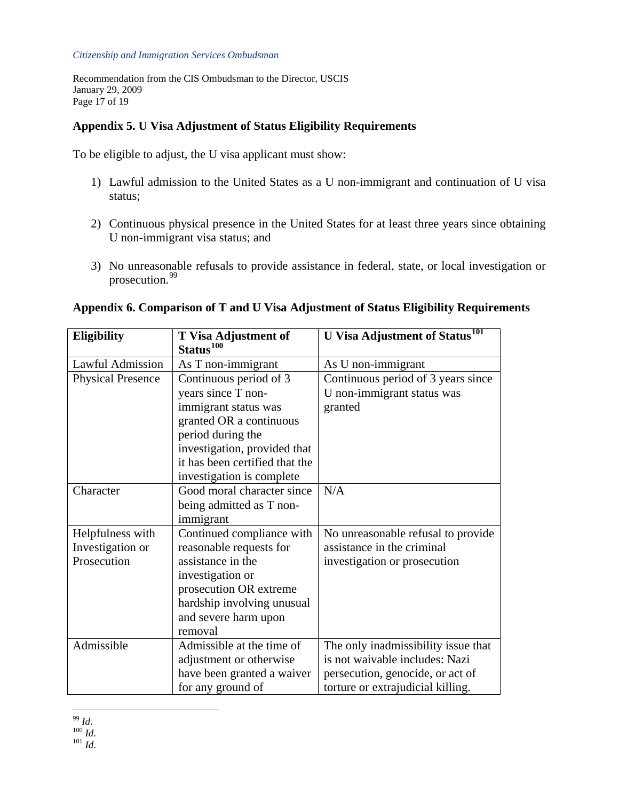Recommendation from the CIS Ombudsman to the Director, USCIS January 29, 2009 Page 17 of 19

# **Appendix 5. U Visa Adjustment of Status Eligibility Requirements**

To be eligible to adjust, the U visa applicant must show:

- 1) Lawful admission to the United States as a U non-immigrant and continuation of U visa status;
- 2) Continuous physical presence in the United States for at least three years since obtaining U non-immigrant visa status; and
- 3) No unreasonable refusals to provide assistance in federal, state, or local investigation or prosecution.<sup>[99](#page-16-0)</sup>

<span id="page-16-2"></span><span id="page-16-1"></span><span id="page-16-0"></span>

| <b>Eligibility</b>       | <b>T</b> Visa Adjustment of<br>Status <sup>100</sup> | <b>U</b> Visa Adjustment of Status <sup>101</sup> |
|--------------------------|------------------------------------------------------|---------------------------------------------------|
| <b>Lawful Admission</b>  | As T non-immigrant                                   | As U non-immigrant                                |
| <b>Physical Presence</b> | Continuous period of 3                               | Continuous period of 3 years since                |
|                          | years since T non-                                   | U non-immigrant status was                        |
|                          | immigrant status was                                 | granted                                           |
|                          | granted OR a continuous                              |                                                   |
|                          | period during the                                    |                                                   |
|                          | investigation, provided that                         |                                                   |
|                          | it has been certified that the                       |                                                   |
|                          | investigation is complete                            |                                                   |
| Character                | Good moral character since                           | N/A                                               |
|                          | being admitted as T non-                             |                                                   |
|                          | immigrant                                            |                                                   |
| Helpfulness with         | Continued compliance with                            | No unreasonable refusal to provide                |
| Investigation or         | reasonable requests for                              | assistance in the criminal                        |
| Prosecution              | assistance in the                                    | investigation or prosecution                      |
|                          | investigation or                                     |                                                   |
|                          | prosecution OR extreme                               |                                                   |
|                          | hardship involving unusual                           |                                                   |
|                          | and severe harm upon                                 |                                                   |
|                          | removal                                              |                                                   |
| Admissible               | Admissible at the time of                            | The only inadmissibility issue that               |
|                          | adjustment or otherwise                              | is not waivable includes: Nazi                    |
|                          | have been granted a waiver                           | persecution, genocide, or act of                  |
|                          | for any ground of                                    | torture or extrajudicial killing.                 |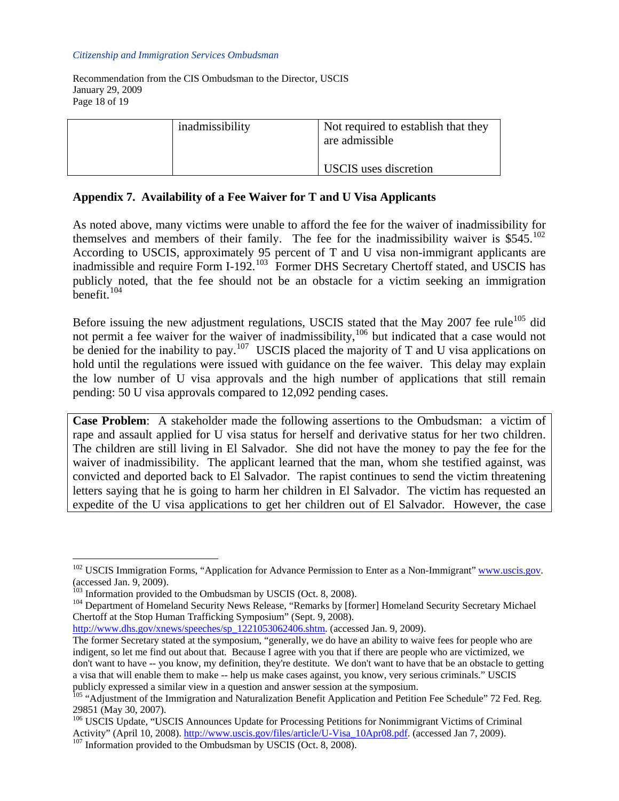Recommendation from the CIS Ombudsman to the Director, USCIS January 29, 2009 Page 18 of 19

| inadmissibility | Not required to establish that they<br>are admissible<br><b>USCIS</b> uses discretion |
|-----------------|---------------------------------------------------------------------------------------|
|-----------------|---------------------------------------------------------------------------------------|

### **Appendix 7. Availability of a Fee Waiver for T and U Visa Applicants**

As noted above, many victims were unable to afford the fee for the waiver of inadmissibility for themselves and members of their family. The fee for the inadmissibility waiver is  $$545$ .<sup>[102](#page-17-0)</sup> According to USCIS, approximately 95 percent of T and U visa non-immigrant applicants are inadmissible and require Form I-192.<sup>[103](#page-17-1)</sup> Former DHS Secretary Chertoff stated, and USCIS has publicly noted, that the fee should not be an obstacle for a victim seeking an immigration benefit. $104$ 

Before issuing the new adjustment regulations, USCIS stated that the May 2007 fee rule<sup>[105](#page-17-3)</sup> did not permit a fee waiver for the waiver of inadmissibility,<sup>[106](#page-17-4)</sup> but indicated that a case would not be denied for the inability to pay.<sup>[107](#page-17-5)</sup> USCIS placed the majority of T and U visa applications on hold until the regulations were issued with guidance on the fee waiver. This delay may explain the low number of U visa approvals and the high number of applications that still remain pending: 50 U visa approvals compared to 12,092 pending cases.

**Case Problem**: A stakeholder made the following assertions to the Ombudsman: a victim of rape and assault applied for U visa status for herself and derivative status for her two children. The children are still living in El Salvador. She did not have the money to pay the fee for the waiver of inadmissibility. The applicant learned that the man, whom she testified against, was convicted and deported back to El Salvador. The rapist continues to send the victim threatening letters saying that he is going to harm her children in El Salvador. The victim has requested an expedite of the U visa applications to get her children out of El Salvador. However, the case

 $\overline{a}$ 

[http://www.dhs.gov/xnews/speeches/sp\\_1221053062406.shtm.](http://www.dhs.gov/xnews/speeches/sp_1221053062406.shtm) (accessed Jan. 9, 2009).

<span id="page-17-0"></span><sup>&</sup>lt;sup>102</sup> USCIS Immigration Forms, "Application for Advance Permission to Enter as a Non-Immigrant" [www.uscis.gov](http://www.uscis.gov/). (accessed Jan. 9, 2009).<br><sup>103</sup> Information provided to the Ombudsman by USCIS (Oct. 8, 2008).

<span id="page-17-2"></span><span id="page-17-1"></span><sup>&</sup>lt;sup>104</sup> Department of Homeland Security News Release, "Remarks by [former] Homeland Security Secretary Michael Chertoff at the Stop Human Trafficking Symposium" (Sept. 9, 2008).

The former Secretary stated at the symposium, "generally, we do have an ability to waive fees for people who are indigent, so let me find out about that. Because I agree with you that if there are people who are victimized, we don't want to have -- you know, my definition, they're destitute. We don't want to have that be an obstacle to getting a visa that will enable them to make -- help us make cases against, you know, very serious criminals." USCIS publicly expressed a similar view in a question and answer session at the symposium.

<span id="page-17-3"></span><sup>&</sup>lt;sup>105</sup> "Adjustment of the Immigration and Naturalization Benefit Application and Petition Fee Schedule" 72 Fed. Reg. 29851 (May 30, 2007).

<span id="page-17-5"></span><span id="page-17-4"></span><sup>&</sup>lt;sup>106</sup> USCIS Update, "USCIS Announces Update for Processing Petitions for Nonimmigrant Victims of Criminal Activity" (April 10, 2008). [http://www.uscis.gov/files/article/U-Visa\\_10Apr08.pdf](http://www.uscis.gov/files/article/U-Visa_10Apr08.pdf). (accessed Jan 7, 2009).<br><sup>107</sup> Information provided to the Ombudsman by USCIS (Oct. 8, 2008).